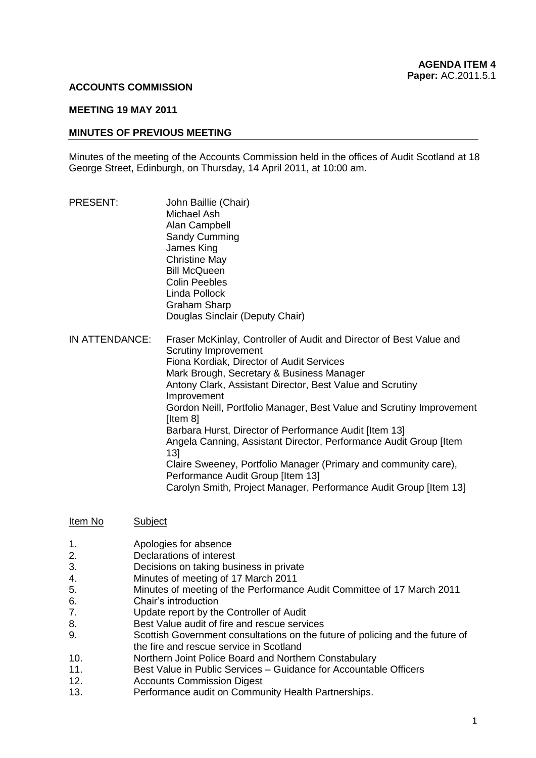### **ACCOUNTS COMMISSION**

#### **MEETING 19 MAY 2011**

### **MINUTES OF PREVIOUS MEETING**

Minutes of the meeting of the Accounts Commission held in the offices of Audit Scotland at 18 George Street, Edinburgh, on Thursday, 14 April 2011, at 10:00 am.

- PRESENT: John Baillie (Chair) Michael Ash Alan Campbell Sandy Cumming James King Christine May Bill McQueen Colin Peebles Linda Pollock Graham Sharp Douglas Sinclair (Deputy Chair) IN ATTENDANCE: Fraser McKinlay, Controller of Audit and Director of Best Value and Scrutiny Improvement Fiona Kordiak, Director of Audit Services Mark Brough, Secretary & Business Manager Antony Clark, Assistant Director, Best Value and Scrutiny Improvement Gordon Neill, Portfolio Manager, Best Value and Scrutiny Improvement [Item 8] Barbara Hurst, Director of Performance Audit [Item 13] Angela Canning, Assistant Director, Performance Audit Group [Item 13] Claire Sweeney, Portfolio Manager (Primary and community care), Performance Audit Group [Item 13] Carolyn Smith, Project Manager, Performance Audit Group [Item 13]
- Item No Subject
- 1. Apologies for absence
- 2. Declarations of interest
- 3. Decisions on taking business in private
- 4. Minutes of meeting of 17 March 2011
- 5. Minutes of meeting of the Performance Audit Committee of 17 March 2011
- 6. Chair's introduction
- 7. Update report by the Controller of Audit
- 8. Best Value audit of fire and rescue services
- 9. Scottish Government consultations on the future of policing and the future of the fire and rescue service in Scotland
- 10. Northern Joint Police Board and Northern Constabulary
- 11. Best Value in Public Services Guidance for Accountable Officers
- 12. Accounts Commission Digest
- 13. Performance audit on Community Health Partnerships.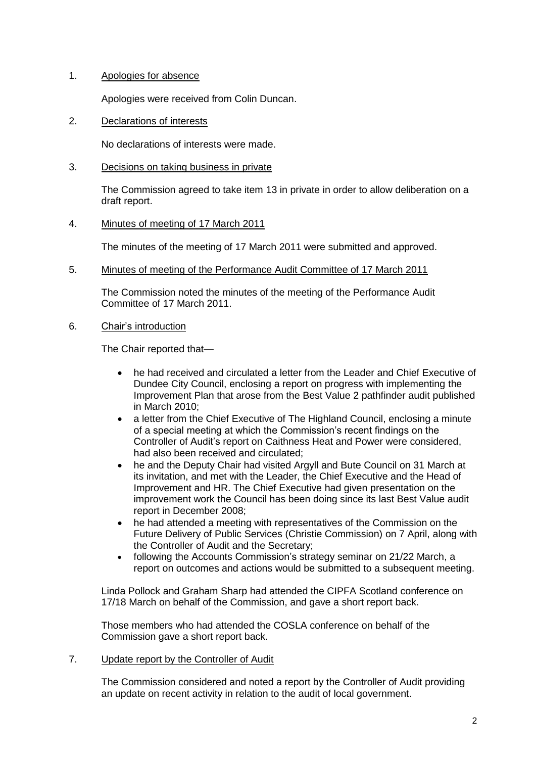# 1. Apologies for absence

Apologies were received from Colin Duncan.

2. Declarations of interests

No declarations of interests were made.

## 3. Decisions on taking business in private

The Commission agreed to take item 13 in private in order to allow deliberation on a draft report.

# 4. Minutes of meeting of 17 March 2011

The minutes of the meeting of 17 March 2011 were submitted and approved.

5. Minutes of meeting of the Performance Audit Committee of 17 March 2011

The Commission noted the minutes of the meeting of the Performance Audit Committee of 17 March 2011.

# 6. Chair's introduction

The Chair reported that—

- he had received and circulated a letter from the Leader and Chief Executive of Dundee City Council, enclosing a report on progress with implementing the Improvement Plan that arose from the Best Value 2 pathfinder audit published in March 2010;
- a letter from the Chief Executive of The Highland Council, enclosing a minute of a special meeting at which the Commission's recent findings on the Controller of Audit's report on Caithness Heat and Power were considered, had also been received and circulated;
- he and the Deputy Chair had visited Argyll and Bute Council on 31 March at its invitation, and met with the Leader, the Chief Executive and the Head of Improvement and HR. The Chief Executive had given presentation on the improvement work the Council has been doing since its last Best Value audit report in December 2008;
- he had attended a meeting with representatives of the Commission on the Future Delivery of Public Services (Christie Commission) on 7 April, along with the Controller of Audit and the Secretary;
- following the Accounts Commission's strategy seminar on 21/22 March, a report on outcomes and actions would be submitted to a subsequent meeting.

Linda Pollock and Graham Sharp had attended the CIPFA Scotland conference on 17/18 March on behalf of the Commission, and gave a short report back.

Those members who had attended the COSLA conference on behalf of the Commission gave a short report back.

### 7. Update report by the Controller of Audit

The Commission considered and noted a report by the Controller of Audit providing an update on recent activity in relation to the audit of local government.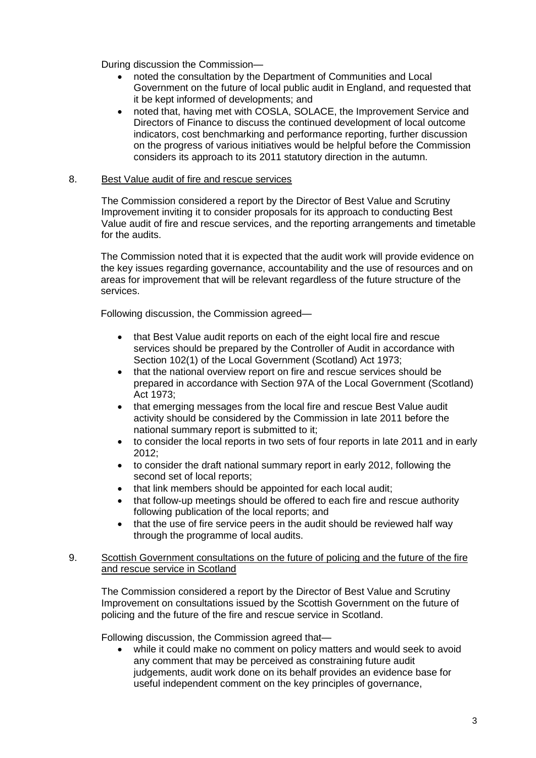During discussion the Commission—

- noted the consultation by the Department of Communities and Local Government on the future of local public audit in England, and requested that it be kept informed of developments; and
- noted that, having met with COSLA, SOLACE, the Improvement Service and Directors of Finance to discuss the continued development of local outcome indicators, cost benchmarking and performance reporting, further discussion on the progress of various initiatives would be helpful before the Commission considers its approach to its 2011 statutory direction in the autumn.

## 8. Best Value audit of fire and rescue services

The Commission considered a report by the Director of Best Value and Scrutiny Improvement inviting it to consider proposals for its approach to conducting Best Value audit of fire and rescue services, and the reporting arrangements and timetable for the audits.

The Commission noted that it is expected that the audit work will provide evidence on the key issues regarding governance, accountability and the use of resources and on areas for improvement that will be relevant regardless of the future structure of the services.

Following discussion, the Commission agreed—

- that Best Value audit reports on each of the eight local fire and rescue services should be prepared by the Controller of Audit in accordance with Section 102(1) of the Local Government (Scotland) Act 1973;
- that the national overview report on fire and rescue services should be prepared in accordance with Section 97A of the Local Government (Scotland) Act 1973;
- that emerging messages from the local fire and rescue Best Value audit activity should be considered by the Commission in late 2011 before the national summary report is submitted to it;
- to consider the local reports in two sets of four reports in late 2011 and in early 2012;
- to consider the draft national summary report in early 2012, following the second set of local reports;
- that link members should be appointed for each local audit;
- that follow-up meetings should be offered to each fire and rescue authority following publication of the local reports; and
- that the use of fire service peers in the audit should be reviewed half way through the programme of local audits.

### 9. Scottish Government consultations on the future of policing and the future of the fire and rescue service in Scotland

The Commission considered a report by the Director of Best Value and Scrutiny Improvement on consultations issued by the Scottish Government on the future of policing and the future of the fire and rescue service in Scotland.

Following discussion, the Commission agreed that—

 while it could make no comment on policy matters and would seek to avoid any comment that may be perceived as constraining future audit judgements, audit work done on its behalf provides an evidence base for useful independent comment on the key principles of governance,